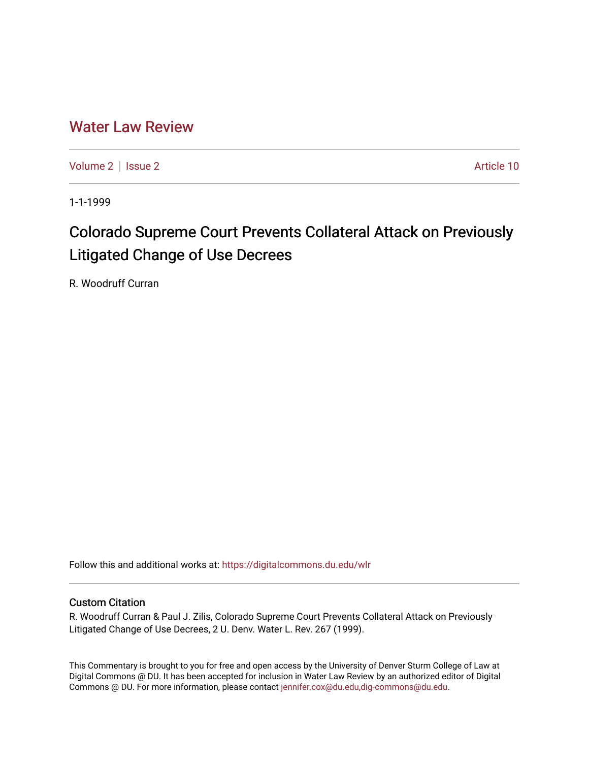## [Water Law Review](https://digitalcommons.du.edu/wlr)

[Volume 2](https://digitalcommons.du.edu/wlr/vol2) | [Issue 2](https://digitalcommons.du.edu/wlr/vol2/iss2) Article 10

1-1-1999

# Colorado Supreme Court Prevents Collateral Attack on Previously Litigated Change of Use Decrees

R. Woodruff Curran

Follow this and additional works at: [https://digitalcommons.du.edu/wlr](https://digitalcommons.du.edu/wlr?utm_source=digitalcommons.du.edu%2Fwlr%2Fvol2%2Fiss2%2F10&utm_medium=PDF&utm_campaign=PDFCoverPages) 

#### Custom Citation

R. Woodruff Curran & Paul J. Zilis, Colorado Supreme Court Prevents Collateral Attack on Previously Litigated Change of Use Decrees, 2 U. Denv. Water L. Rev. 267 (1999).

This Commentary is brought to you for free and open access by the University of Denver Sturm College of Law at Digital Commons @ DU. It has been accepted for inclusion in Water Law Review by an authorized editor of Digital Commons @ DU. For more information, please contact [jennifer.cox@du.edu,dig-commons@du.edu.](mailto:jennifer.cox@du.edu,dig-commons@du.edu)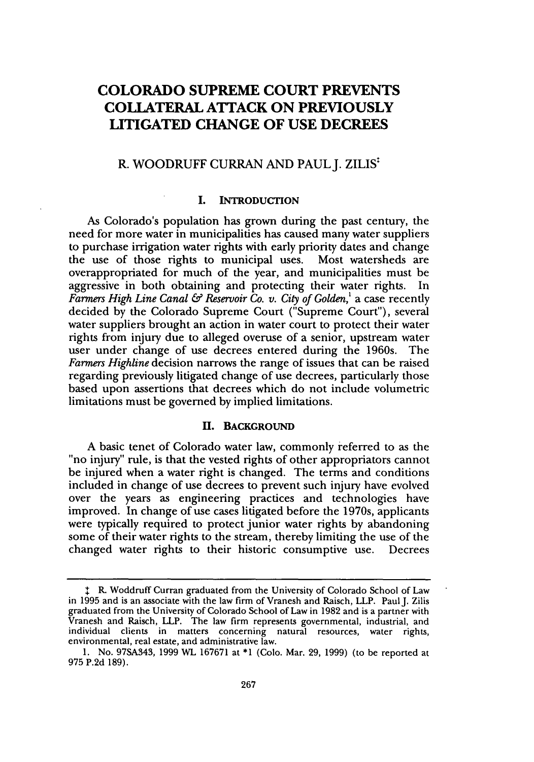### **COLORADO SUPREME COURT PREVENTS COLLATERAL ATTACK ON PREVIOUSLY LITIGATED CHANGE OF USE DECREES**

#### R. WOODRUFF CURRAN **AND PAULJ. ZILIS:**

#### **I. INTRODUCTION**

As Colorado's population has grown during the past century, the need for more water in municipalities has caused many water suppliers to purchase irrigation water rights with early priority dates and change the use of those rights to municipal uses. Most watersheds are overappropriated for much of the year, and municipalities must be aggressive in both obtaining and protecting their water rights. In *Farmers High Line Canal & Reservoir Co. v. City of Golden,'* a case recently decided by the Colorado Supreme Court ("Supreme Court"), several water suppliers brought an action in water court to protect their water rights from injury due to alleged overuse of a senior, upstream water user under change of use decrees entered during the 1960s. The *Farmers Highline* decision narrows the range of issues that can be raised regarding previously litigated change of use decrees, particularly those based upon assertions that decrees which do not include volumetric limitations must be governed by implied limitations.

#### **11. BACKGROUND**

A basic tenet of Colorado water law, commonly referred to as the "no injury" rule, is that the vested rights of other appropriators cannot be injured when a water right is changed. The terms and conditions included in change of use decrees to prevent such injury have evolved over the years as engineering practices and technologies have improved. In change of use cases litigated before the 1970s, applicants were typically required to protect junior water rights by abandoning some of their water rights to the stream, thereby limiting the use of the changed water rights to their historic consumptive use. Decrees

**<sup>\*</sup>** R. Woddruff Curran graduated from the University of Colorado School of Law in 1995 and is an associate with the law firm of Vranesh and Raisch, LLP. Paul J. Zilis graduated from the University of Colorado School of Law in 1982 and is a partner with Vranesh and Raisch, LLP. The law firm represents governmental, industrial, and individual clients in matters concerning natural resources, water rights, environmental, real estate, and administrative law.

<sup>1.</sup> No. 97SA343, 1999 WL 167671 at \*1 (Colo. Mar. 29, 1999) (to be reported at 975 P.2d 189).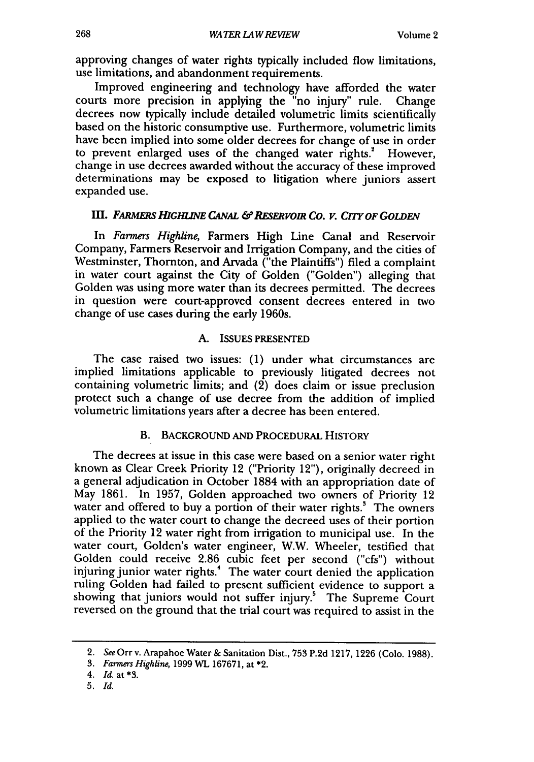approving changes of water rights typically included flow limitations, use limitations, and abandonment requirements.

Improved engineering and technology have afforded the water courts more precision in applying the "no injury" rule. Change decrees now typically include detailed volumetric limits scientifically based on the historic consumptive use. Furthermore, volumetric limits have been implied into some older decrees for change of use in order to prevent enlarged uses of the changed water rights.<sup>2</sup> However, change in use decrees awarded without the accuracy of these improved determinations may be exposed to litigation where juniors assert expanded use.

#### **III. FARMERS HIGHLINE CANAL & RESERVOIR CO. V. CITY OF GOLDEN**

In *Farmers Highline,* Farmers High Line Canal and Reservoir Company, Farmers Reservoir and Irrigation Company, and the cities of Westminster, Thornton, and Arvada ("the Plaintiffs") filed a complaint in water court against the City of Golden ("Golden") alleging that Golden was using more water than its decrees permitted. The decrees in question were court-approved consent decrees entered in two change of use cases during the early 1960s.

#### **A.** ISSUES **PRESENTED**

The case raised two issues: (1) under what circumstances are implied limitations applicable to previously litigated decrees not containing volumetric limits; and (2) does claim or issue preclusion protect such a change of use decree from the addition of implied volumetric limitations years after a decree has been entered.

#### B. BACKGROUND **AND** PROCEDURAL HISTORY

The decrees at issue in this case were based on a senior water right known as Clear Creek Priority 12 ("Priority 12"), originally decreed in a general adjudication in October 1884 with an appropriation date of May 1861. In 1957, Golden approached two owners of Priority 12 water and offered to buy a portion of their water rights.<sup>3</sup> The owners applied to the water court to change the decreed uses of their portion of the Priority 12 water right from irrigation to municipal use. In the water court, Golden's water engineer, W.W. Wheeler, testified that Golden could receive 2.86 cubic feet per second ("cfs") without injuring junior water rights.<sup>4</sup> The water court denied the application ruling Golden had failed to present sufficient evidence to support a showing that juniors would not suffer injury.<sup>5</sup> The Supreme Court reversed on the ground that the trial court was required to assist in the

<sup>2.</sup> *See* Orr v. Arapahoe Water & Sanitation Dist., **753** P.2d 1217, 1226 (Colo. 1988).

<sup>3.</sup> *FarmersHighline,* 1999WL 167671, at \*2.

<sup>4.</sup> *Id.* at **\*3.**

<sup>5.</sup> *Id.*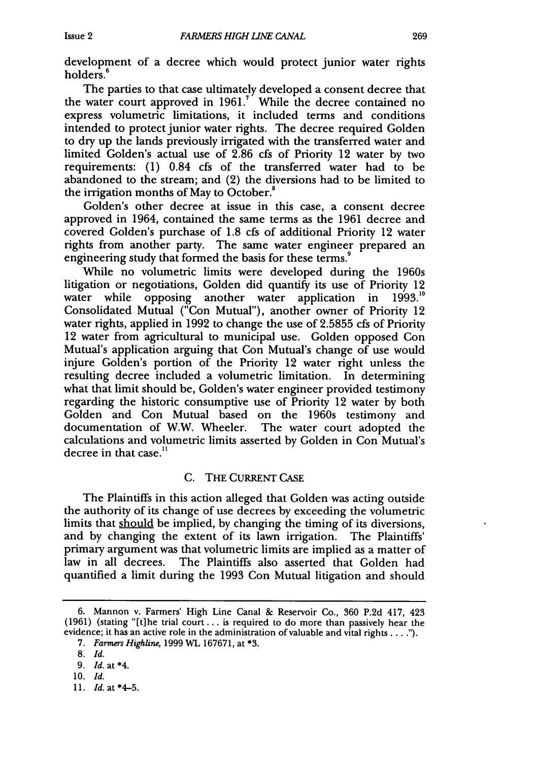development of a decree which would protect junior water rights holders.<sup>6</sup>

The parties to that case ultimately developed a consent decree that the water court approved in 1961.' While the decree contained no express volumetric limitations, it included terms and conditions intended to protect junior water rights. The decree required Golden to dry up the lands previously irrigated with the transferred water and limited Golden's actual use of 2.86 cfs of Priority 12 water by two requirements: (1) 0.84 cfs of the transferred water had to be abandoned to the stream; and (2) the diversions had to be limited to the irrigation months of May to October.<sup>8</sup>

Golden's other decree at issue in this case, a consent decree approved in 1964, contained the same terms as the 1961 decree and covered Golden's purchase of 1.8 cfs of additional Priority 12 water rights from another party. The same water engineer prepared an engineering study that formed the basis for these terms.<sup>9</sup>

While no volumetric limits were developed during the 1960s litigation or negotiations, Golden did quantify its use of Priority 12<br>water while opposing another water application in 1993.<sup>10</sup> water while opposing another water application in Consolidated Mutual ("Con Mutual"), another owner of Priority 12 water rights, applied in 1992 to change the use of 2.5855 cfs of Priority 12 water from agricultural to municipal use. Golden opposed Con Mutual's application arguing that Con Mutual's change of use would injure Golden's portion of the Priority 12 water right unless the resulting decree included a volumetric limitation. In determining what that limit should be, Golden's water engineer provided testimony regarding the historic consumptive use of Priority 12 water by both Golden and Con Mutual based on the 1960s testimony and documentation of W.W. Wheeler. The water court adopted the calculations and volumetric limits asserted by Golden in Con Mutual's decree in that case. $<sup>11</sup>$ </sup>

#### C. THE CURRENT CASE

The Plaintiffs in this action alleged that Golden was acting outside the authority of its change of use decrees by exceeding the volumetric limits that should be implied, by changing the timing of its diversions, and by changing the extent of its lawn irrigation. The Plaintiffs' primary argument was that volumetric limits are implied as a matter of law in all decrees. The Plaintiffs also asserted that Golden had quantified a limit during the 1993 Con Mutual litigation and should

<sup>6.</sup> Mannon v. Farmers' High Line Canal & Reservoir Co., 360 P.2d 417, 423 (1961) (stating "[t]he trial court.., is required to do more than passively hear the evidence; it has an active role in the administration of valuable and vital rights **... .**

<sup>7.</sup> *Farmers Highline*, 1999 WL 167671, at \*3.

<sup>8.</sup> Id.

<sup>9.</sup> *Id.* at \*4.

**<sup>10.</sup>** *Id.*

<sup>11.</sup> *Id.* at \*4-5.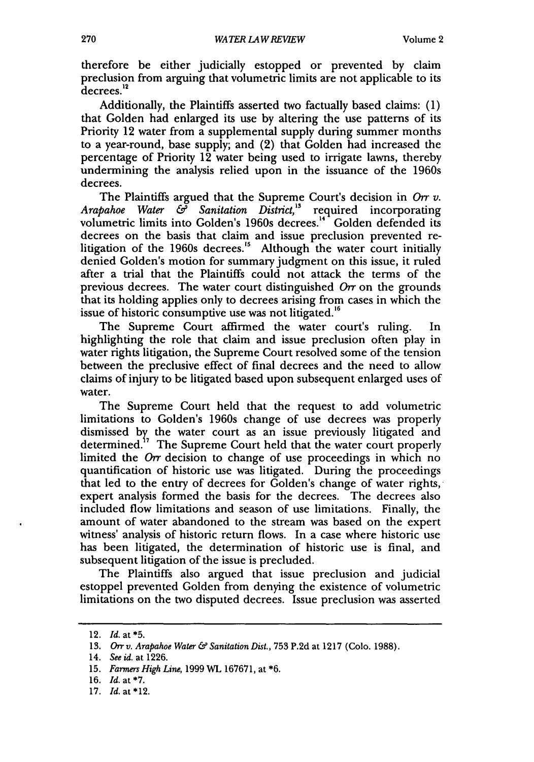therefore be either judicially estopped or prevented by claim preclusion from arguing that volumetric limits are not applicable to its decrees.<sup>12</sup>

Additionally, the Plaintiffs asserted two factually based claims: (1) that Golden had enlarged its use by altering the use patterns of its Priority 12 water from a supplemental supply during summer months to a year-round, base supply; and (2) that Golden had increased the percentage of Priority 12 water being used to irrigate lawns, thereby undermining the analysis relied upon in the issuance of the 1960s decrees.

The Plaintiffs argued that the Supreme Court's decision in *Orr v. Arapahoe Water & Sanitation District,"* required incorporating volumetric limits into Golden's 1960s decrees.<sup>14</sup> Golden defended its decrees on the basis that claim and issue preclusion prevented relitigation of the 1960s decrees.<sup>15</sup> Although the water court initially denied Golden's motion for summary judgment on this issue, it ruled after a trial that the Plaintiffs could not attack the terms of the previous decrees. The water court distinguished  $Orr$  on the grounds that its holding applies only to decrees arising from cases in which the issue of historic consumptive use was not litigated.<sup>16</sup>

The Supreme Court affirmed the water court's ruling. In highlighting the role that claim and issue preclusion often play in water rights litigation, the Supreme Court resolved some of the tension between the preclusive effect of final decrees and the need to allow claims of injury to be litigated based upon subsequent enlarged uses of water.

The Supreme Court held that the request to add volumetric limitations to Golden's 1960s change of use decrees was properly dismissed **by** the water court as an issue previously litigated and determined.<sup>17</sup> The Supreme Court held that the water court properly limited the *Orr* decision to change of use proceedings in which no quantification of historic use was litigated. During the proceedings that led to the entry of decrees for Golden's change of water rights, expert analysis formed the basis for the decrees. The decrees also included flow limitations and season of use limitations. Finally, the amount of water abandoned to the stream was based on the expert witness' analysis of historic return flows. In a case where historic use has been litigated, the determination of historic use is final, and subsequent litigation of the issue is precluded.

The Plaintiffs also argued that issue preclusion and judicial estoppel prevented Golden from denying the existence of volumetric limitations on the two disputed decrees. Issue preclusion was asserted

<sup>12.</sup> *Id.* at **\*5.**

<sup>13.</sup> *Orr v. Arapahoe Water & Sanitation Dist.,* 753 P.2d at 1217 (Colo. 1988).

<sup>14.</sup> *See id.* at 1226.

<sup>15.</sup> *Farmers High Line,* 1999 WL 167671, at \*6.

<sup>16.</sup> *Id.* at \*7.

<sup>17.</sup> *Id.* at \*12.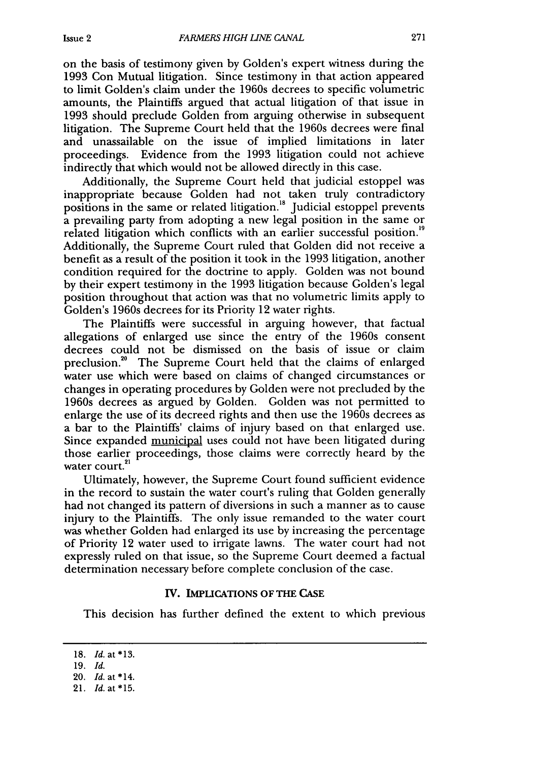on the basis of testimony given **by** Golden's expert witness during the 1993 Con Mutual litigation. Since testimony in that action appeared to limit Golden's claim under the 1960s decrees to specific volumetric amounts, the Plaintiffs argued that actual litigation of that issue in 1993 should preclude Golden from arguing otherwise in subsequent litigation. The Supreme Court held that the 1960s decrees were final and unassailable on the issue of implied limitations in later proceedings. Evidence from the 1993 litigation could not achieve indirectly that which would not be allowed directly in this case.

Additionally, the Supreme Court held that judicial estoppel was inappropriate because Golden had not taken truly contradictory positions in the same or related litigation.<sup>18</sup> Judicial estoppel prevents a prevailing party from adopting a new legal position in the same or related litigation which conflicts with an earlier successful position.'<sup>9</sup> Additionally, the Supreme Court ruled that Golden did not receive a benefit as a result of the position it took in the 1993 litigation, another condition required for the doctrine to apply. Golden was not bound by their expert testimony in the 1993 litigation because Golden's legal position throughout that action was that no volumetric limits apply to Golden's 1960s decrees for its Priority 12 water rights.

The Plaintiffs were successful in arguing however, that factual allegations of enlarged use since the entry of the 1960s consent decrees could not be dismissed on the basis of issue or claim preclusion.<sup>20</sup> The Supreme Court held that the claims of enlarged water use which were based on claims of changed circumstances or changes in operating procedures by Golden were not precluded by the 1960s decrees as argued by Golden. Golden was not permitted to enlarge the use of its decreed rights and then use the 1960s decrees as a bar to the Plaintiffs' claims of injury based on that enlarged use. Since expanded municipal uses could not have been litigated during those earlier proceedings, those claims were correctly heard by the water court.<sup>21</sup>

Ultimately, however, the Supreme Court found sufficient evidence in the record to sustain the water court's ruling that Golden generally had not changed its pattern of diversions in such a manner as to cause injury to the Plaintiffs. The only issue remanded to the water court was whether Golden had enlarged its use by increasing the percentage of Priority 12 water used to irrigate lawns. The water court had not expressly ruled on that issue, so the Supreme Court deemed a factual determination necessary before complete conclusion of the case.

#### **IV. IMPLICATIONS OF THE CASE**

This decision has further defined the extent to which previous

**<sup>18.</sup>** *Id. at\** **13.**

**<sup>19.</sup>** *Id.*

<sup>20.</sup> *Id.* at \*14.

**<sup>21.</sup>** *Id.* at\*15.